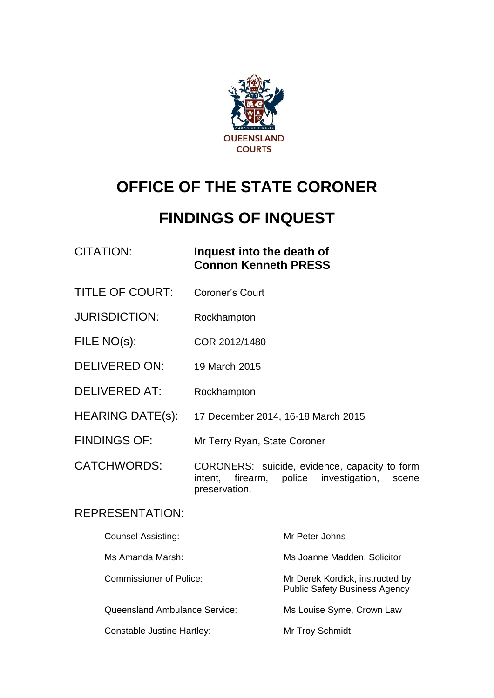

# **OFFICE OF THE STATE CORONER**

# **FINDINGS OF INQUEST**

| <b>CITATION:</b>            | Inquest into the death of<br><b>Connon Kenneth PRESS</b>                                                                |
|-----------------------------|-------------------------------------------------------------------------------------------------------------------------|
| <b>TITLE OF COURT:</b>      | Coroner's Court                                                                                                         |
| <b>JURISDICTION:</b>        | Rockhampton                                                                                                             |
| FILE NO(s):                 | COR 2012/1480                                                                                                           |
| <b>DELIVERED ON:</b>        | 19 March 2015                                                                                                           |
| <b>DELIVERED AT:</b>        | Rockhampton                                                                                                             |
| <b>HEARING DATE(s):</b>     | 17 December 2014, 16-18 March 2015                                                                                      |
| <b>FINDINGS OF:</b>         | Mr Terry Ryan, State Coroner                                                                                            |
| <b>CATCHWORDS:</b>          | CORONERS: suicide, evidence, capacity to form<br>police investigation,<br>firearm,<br>intent,<br>scene<br>preservation. |
| <b>REPRESENTATION:</b>      |                                                                                                                         |
| $\sim$ $\sim$ $\sim$ $\sim$ |                                                                                                                         |

| <b>Counsel Assisting:</b>            | Mr Peter Johns                                                          |
|--------------------------------------|-------------------------------------------------------------------------|
| Ms Amanda Marsh:                     | Ms Joanne Madden, Solicitor                                             |
| <b>Commissioner of Police:</b>       | Mr Derek Kordick, instructed by<br><b>Public Safety Business Agency</b> |
| <b>Queensland Ambulance Service:</b> | Ms Louise Syme, Crown Law                                               |
| Constable Justine Hartley:           | Mr Troy Schmidt                                                         |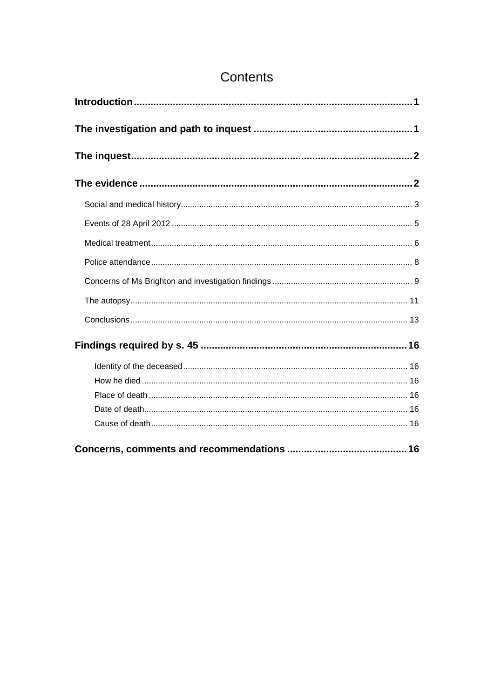# Contents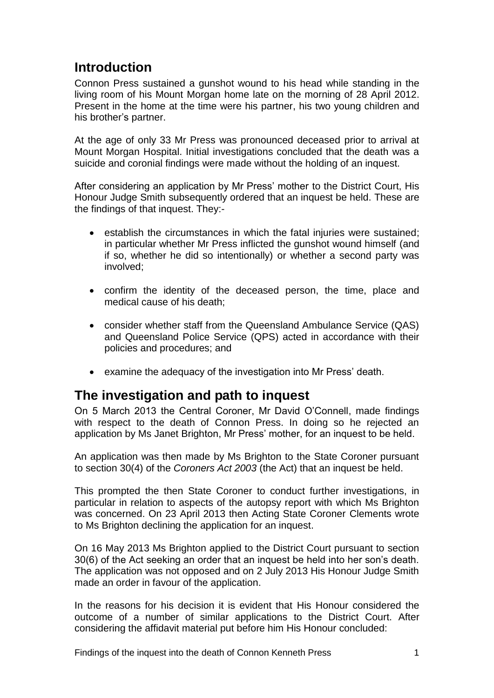# <span id="page-2-0"></span>**Introduction**

Connon Press sustained a gunshot wound to his head while standing in the living room of his Mount Morgan home late on the morning of 28 April 2012. Present in the home at the time were his partner, his two young children and his brother's partner.

At the age of only 33 Mr Press was pronounced deceased prior to arrival at Mount Morgan Hospital. Initial investigations concluded that the death was a suicide and coronial findings were made without the holding of an inquest.

After considering an application by Mr Press' mother to the District Court, His Honour Judge Smith subsequently ordered that an inquest be held. These are the findings of that inquest. They:-

- establish the circumstances in which the fatal injuries were sustained; in particular whether Mr Press inflicted the gunshot wound himself (and if so, whether he did so intentionally) or whether a second party was involved;
- confirm the identity of the deceased person, the time, place and medical cause of his death;
- consider whether staff from the Queensland Ambulance Service (QAS) and Queensland Police Service (QPS) acted in accordance with their policies and procedures; and
- examine the adequacy of the investigation into Mr Press' death.

# <span id="page-2-1"></span>**The investigation and path to inquest**

On 5 March 2013 the Central Coroner, Mr David O'Connell, made findings with respect to the death of Connon Press. In doing so he rejected an application by Ms Janet Brighton, Mr Press' mother, for an inquest to be held.

An application was then made by Ms Brighton to the State Coroner pursuant to section 30(4) of the *Coroners Act 2003* (the Act) that an inquest be held.

This prompted the then State Coroner to conduct further investigations, in particular in relation to aspects of the autopsy report with which Ms Brighton was concerned. On 23 April 2013 then Acting State Coroner Clements wrote to Ms Brighton declining the application for an inquest.

On 16 May 2013 Ms Brighton applied to the District Court pursuant to section 30(6) of the Act seeking an order that an inquest be held into her son's death. The application was not opposed and on 2 July 2013 His Honour Judge Smith made an order in favour of the application.

In the reasons for his decision it is evident that His Honour considered the outcome of a number of similar applications to the District Court. After considering the affidavit material put before him His Honour concluded: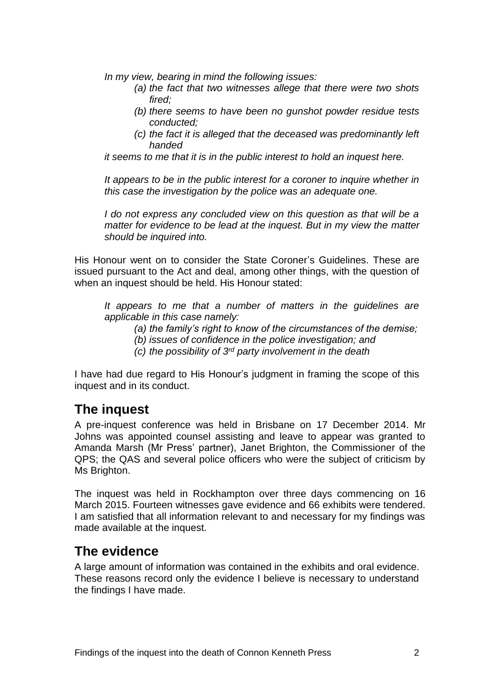*In my view, bearing in mind the following issues:*

- *(a) the fact that two witnesses allege that there were two shots fired;*
- *(b) there seems to have been no gunshot powder residue tests conducted;*
- *(c) the fact it is alleged that the deceased was predominantly left handed*

*it seems to me that it is in the public interest to hold an inquest here.*

*It appears to be in the public interest for a coroner to inquire whether in this case the investigation by the police was an adequate one.*

*I do not express any concluded view on this question as that will be a matter for evidence to be lead at the inquest. But in my view the matter should be inquired into.*

His Honour went on to consider the State Coroner's Guidelines. These are issued pursuant to the Act and deal, among other things, with the question of when an inquest should be held. His Honour stated:

*It appears to me that a number of matters in the guidelines are applicable in this case namely:*

*(a) the family's right to know of the circumstances of the demise;*

- *(b) issues of confidence in the police investigation; and*
- *(c) the possibility of 3rd party involvement in the death*

I have had due regard to His Honour's judgment in framing the scope of this inquest and in its conduct.

## <span id="page-3-0"></span>**The inquest**

A pre-inquest conference was held in Brisbane on 17 December 2014. Mr Johns was appointed counsel assisting and leave to appear was granted to Amanda Marsh (Mr Press' partner), Janet Brighton, the Commissioner of the QPS; the QAS and several police officers who were the subject of criticism by Ms Brighton.

The inquest was held in Rockhampton over three days commencing on 16 March 2015. Fourteen witnesses gave evidence and 66 exhibits were tendered. I am satisfied that all information relevant to and necessary for my findings was made available at the inquest.

## <span id="page-3-1"></span>**The evidence**

A large amount of information was contained in the exhibits and oral evidence. These reasons record only the evidence I believe is necessary to understand the findings I have made.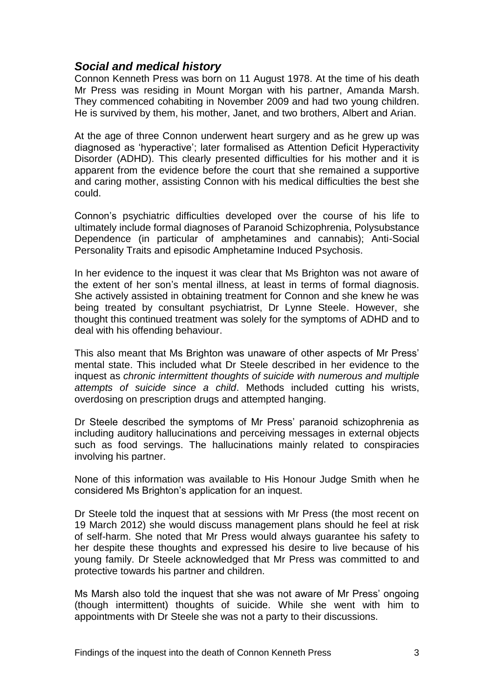#### <span id="page-4-0"></span>*Social and medical history*

Connon Kenneth Press was born on 11 August 1978. At the time of his death Mr Press was residing in Mount Morgan with his partner, Amanda Marsh. They commenced cohabiting in November 2009 and had two young children. He is survived by them, his mother, Janet, and two brothers, Albert and Arian.

At the age of three Connon underwent heart surgery and as he grew up was diagnosed as 'hyperactive'; later formalised as Attention Deficit Hyperactivity Disorder (ADHD). This clearly presented difficulties for his mother and it is apparent from the evidence before the court that she remained a supportive and caring mother, assisting Connon with his medical difficulties the best she could.

Connon's psychiatric difficulties developed over the course of his life to ultimately include formal diagnoses of Paranoid Schizophrenia, Polysubstance Dependence (in particular of amphetamines and cannabis); Anti-Social Personality Traits and episodic Amphetamine Induced Psychosis.

In her evidence to the inquest it was clear that Ms Brighton was not aware of the extent of her son's mental illness, at least in terms of formal diagnosis. She actively assisted in obtaining treatment for Connon and she knew he was being treated by consultant psychiatrist, Dr Lynne Steele. However, she thought this continued treatment was solely for the symptoms of ADHD and to deal with his offending behaviour.

This also meant that Ms Brighton was unaware of other aspects of Mr Press' mental state. This included what Dr Steele described in her evidence to the inquest as *chronic intermittent thoughts of suicide with numerous and multiple attempts of suicide since a child*. Methods included cutting his wrists, overdosing on prescription drugs and attempted hanging.

Dr Steele described the symptoms of Mr Press' paranoid schizophrenia as including auditory hallucinations and perceiving messages in external objects such as food servings. The hallucinations mainly related to conspiracies involving his partner.

None of this information was available to His Honour Judge Smith when he considered Ms Brighton's application for an inquest.

Dr Steele told the inquest that at sessions with Mr Press (the most recent on 19 March 2012) she would discuss management plans should he feel at risk of self-harm. She noted that Mr Press would always guarantee his safety to her despite these thoughts and expressed his desire to live because of his young family. Dr Steele acknowledged that Mr Press was committed to and protective towards his partner and children.

Ms Marsh also told the inquest that she was not aware of Mr Press' ongoing (though intermittent) thoughts of suicide. While she went with him to appointments with Dr Steele she was not a party to their discussions.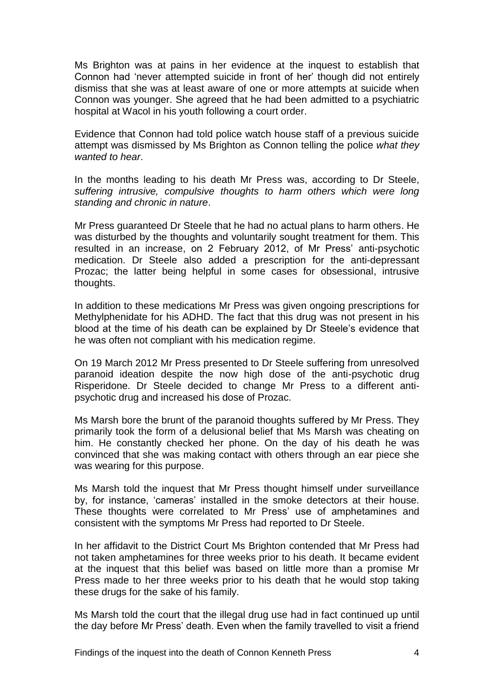Ms Brighton was at pains in her evidence at the inquest to establish that Connon had 'never attempted suicide in front of her' though did not entirely dismiss that she was at least aware of one or more attempts at suicide when Connon was younger. She agreed that he had been admitted to a psychiatric hospital at Wacol in his youth following a court order.

Evidence that Connon had told police watch house staff of a previous suicide attempt was dismissed by Ms Brighton as Connon telling the police *what they wanted to hear*.

In the months leading to his death Mr Press was, according to Dr Steele, *suffering intrusive, compulsive thoughts to harm others which were long standing and chronic in nature*.

Mr Press guaranteed Dr Steele that he had no actual plans to harm others. He was disturbed by the thoughts and voluntarily sought treatment for them. This resulted in an increase, on 2 February 2012, of Mr Press' anti-psychotic medication. Dr Steele also added a prescription for the anti-depressant Prozac; the latter being helpful in some cases for obsessional, intrusive thoughts.

In addition to these medications Mr Press was given ongoing prescriptions for Methylphenidate for his ADHD. The fact that this drug was not present in his blood at the time of his death can be explained by Dr Steele's evidence that he was often not compliant with his medication regime.

On 19 March 2012 Mr Press presented to Dr Steele suffering from unresolved paranoid ideation despite the now high dose of the anti-psychotic drug Risperidone. Dr Steele decided to change Mr Press to a different antipsychotic drug and increased his dose of Prozac.

Ms Marsh bore the brunt of the paranoid thoughts suffered by Mr Press. They primarily took the form of a delusional belief that Ms Marsh was cheating on him. He constantly checked her phone. On the day of his death he was convinced that she was making contact with others through an ear piece she was wearing for this purpose.

Ms Marsh told the inquest that Mr Press thought himself under surveillance by, for instance, 'cameras' installed in the smoke detectors at their house. These thoughts were correlated to Mr Press' use of amphetamines and consistent with the symptoms Mr Press had reported to Dr Steele.

In her affidavit to the District Court Ms Brighton contended that Mr Press had not taken amphetamines for three weeks prior to his death. It became evident at the inquest that this belief was based on little more than a promise Mr Press made to her three weeks prior to his death that he would stop taking these drugs for the sake of his family.

Ms Marsh told the court that the illegal drug use had in fact continued up until the day before Mr Press' death. Even when the family travelled to visit a friend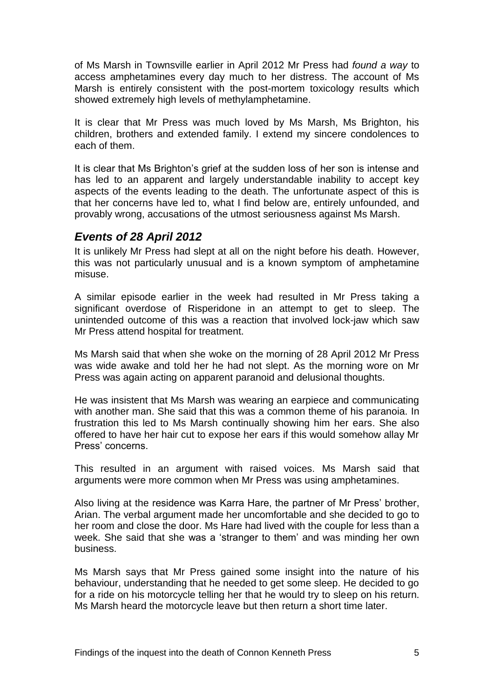of Ms Marsh in Townsville earlier in April 2012 Mr Press had *found a way* to access amphetamines every day much to her distress. The account of Ms Marsh is entirely consistent with the post-mortem toxicology results which showed extremely high levels of methylamphetamine.

It is clear that Mr Press was much loved by Ms Marsh, Ms Brighton, his children, brothers and extended family. I extend my sincere condolences to each of them.

It is clear that Ms Brighton's grief at the sudden loss of her son is intense and has led to an apparent and largely understandable inability to accept key aspects of the events leading to the death. The unfortunate aspect of this is that her concerns have led to, what I find below are, entirely unfounded, and provably wrong, accusations of the utmost seriousness against Ms Marsh.

#### <span id="page-6-0"></span>*Events of 28 April 2012*

It is unlikely Mr Press had slept at all on the night before his death. However, this was not particularly unusual and is a known symptom of amphetamine misuse.

A similar episode earlier in the week had resulted in Mr Press taking a significant overdose of Risperidone in an attempt to get to sleep. The unintended outcome of this was a reaction that involved lock-jaw which saw Mr Press attend hospital for treatment.

Ms Marsh said that when she woke on the morning of 28 April 2012 Mr Press was wide awake and told her he had not slept. As the morning wore on Mr Press was again acting on apparent paranoid and delusional thoughts.

He was insistent that Ms Marsh was wearing an earpiece and communicating with another man. She said that this was a common theme of his paranoia. In frustration this led to Ms Marsh continually showing him her ears. She also offered to have her hair cut to expose her ears if this would somehow allay Mr Press' concerns.

This resulted in an argument with raised voices. Ms Marsh said that arguments were more common when Mr Press was using amphetamines.

Also living at the residence was Karra Hare, the partner of Mr Press' brother, Arian. The verbal argument made her uncomfortable and she decided to go to her room and close the door. Ms Hare had lived with the couple for less than a week. She said that she was a 'stranger to them' and was minding her own business.

Ms Marsh says that Mr Press gained some insight into the nature of his behaviour, understanding that he needed to get some sleep. He decided to go for a ride on his motorcycle telling her that he would try to sleep on his return. Ms Marsh heard the motorcycle leave but then return a short time later.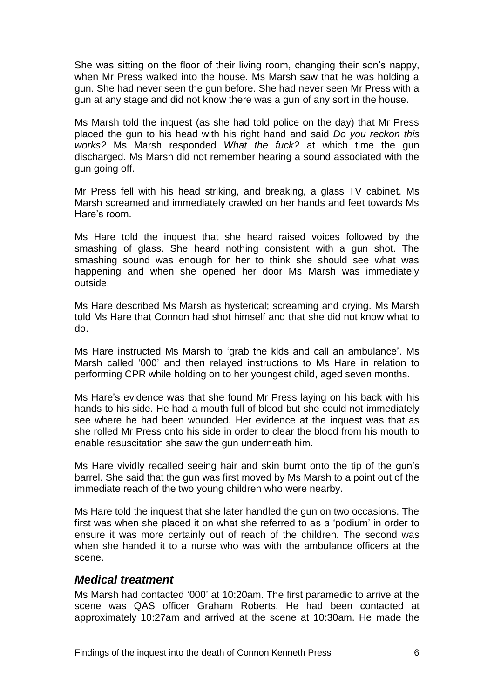She was sitting on the floor of their living room, changing their son's nappy, when Mr Press walked into the house. Ms Marsh saw that he was holding a gun. She had never seen the gun before. She had never seen Mr Press with a gun at any stage and did not know there was a gun of any sort in the house.

Ms Marsh told the inquest (as she had told police on the day) that Mr Press placed the gun to his head with his right hand and said *Do you reckon this works?* Ms Marsh responded *What the fuck?* at which time the gun discharged. Ms Marsh did not remember hearing a sound associated with the gun going off.

Mr Press fell with his head striking, and breaking, a glass TV cabinet. Ms Marsh screamed and immediately crawled on her hands and feet towards Ms Hare's room.

Ms Hare told the inquest that she heard raised voices followed by the smashing of glass. She heard nothing consistent with a gun shot. The smashing sound was enough for her to think she should see what was happening and when she opened her door Ms Marsh was immediately outside.

Ms Hare described Ms Marsh as hysterical; screaming and crying. Ms Marsh told Ms Hare that Connon had shot himself and that she did not know what to do.

Ms Hare instructed Ms Marsh to 'grab the kids and call an ambulance'. Ms Marsh called '000' and then relayed instructions to Ms Hare in relation to performing CPR while holding on to her youngest child, aged seven months.

Ms Hare's evidence was that she found Mr Press laying on his back with his hands to his side. He had a mouth full of blood but she could not immediately see where he had been wounded. Her evidence at the inquest was that as she rolled Mr Press onto his side in order to clear the blood from his mouth to enable resuscitation she saw the gun underneath him.

Ms Hare vividly recalled seeing hair and skin burnt onto the tip of the gun's barrel. She said that the gun was first moved by Ms Marsh to a point out of the immediate reach of the two young children who were nearby.

Ms Hare told the inquest that she later handled the gun on two occasions. The first was when she placed it on what she referred to as a 'podium' in order to ensure it was more certainly out of reach of the children. The second was when she handed it to a nurse who was with the ambulance officers at the scene.

#### <span id="page-7-0"></span>*Medical treatment*

Ms Marsh had contacted '000' at 10:20am. The first paramedic to arrive at the scene was QAS officer Graham Roberts. He had been contacted at approximately 10:27am and arrived at the scene at 10:30am. He made the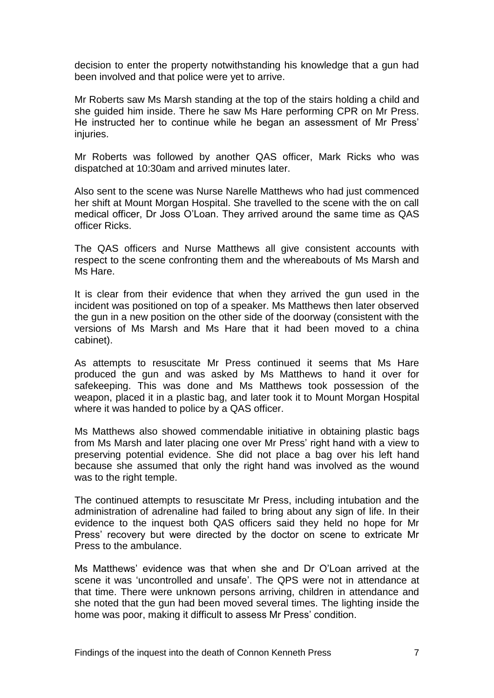decision to enter the property notwithstanding his knowledge that a gun had been involved and that police were yet to arrive.

Mr Roberts saw Ms Marsh standing at the top of the stairs holding a child and she guided him inside. There he saw Ms Hare performing CPR on Mr Press. He instructed her to continue while he began an assessment of Mr Press' injuries.

Mr Roberts was followed by another QAS officer, Mark Ricks who was dispatched at 10:30am and arrived minutes later.

Also sent to the scene was Nurse Narelle Matthews who had just commenced her shift at Mount Morgan Hospital. She travelled to the scene with the on call medical officer, Dr Joss O'Loan. They arrived around the same time as QAS officer Ricks.

The QAS officers and Nurse Matthews all give consistent accounts with respect to the scene confronting them and the whereabouts of Ms Marsh and Ms Hare.

It is clear from their evidence that when they arrived the gun used in the incident was positioned on top of a speaker. Ms Matthews then later observed the gun in a new position on the other side of the doorway (consistent with the versions of Ms Marsh and Ms Hare that it had been moved to a china cabinet).

As attempts to resuscitate Mr Press continued it seems that Ms Hare produced the gun and was asked by Ms Matthews to hand it over for safekeeping. This was done and Ms Matthews took possession of the weapon, placed it in a plastic bag, and later took it to Mount Morgan Hospital where it was handed to police by a QAS officer.

Ms Matthews also showed commendable initiative in obtaining plastic bags from Ms Marsh and later placing one over Mr Press' right hand with a view to preserving potential evidence. She did not place a bag over his left hand because she assumed that only the right hand was involved as the wound was to the right temple.

The continued attempts to resuscitate Mr Press, including intubation and the administration of adrenaline had failed to bring about any sign of life. In their evidence to the inquest both QAS officers said they held no hope for Mr Press' recovery but were directed by the doctor on scene to extricate Mr Press to the ambulance.

Ms Matthews' evidence was that when she and Dr O'Loan arrived at the scene it was 'uncontrolled and unsafe'. The QPS were not in attendance at that time. There were unknown persons arriving, children in attendance and she noted that the gun had been moved several times. The lighting inside the home was poor, making it difficult to assess Mr Press' condition.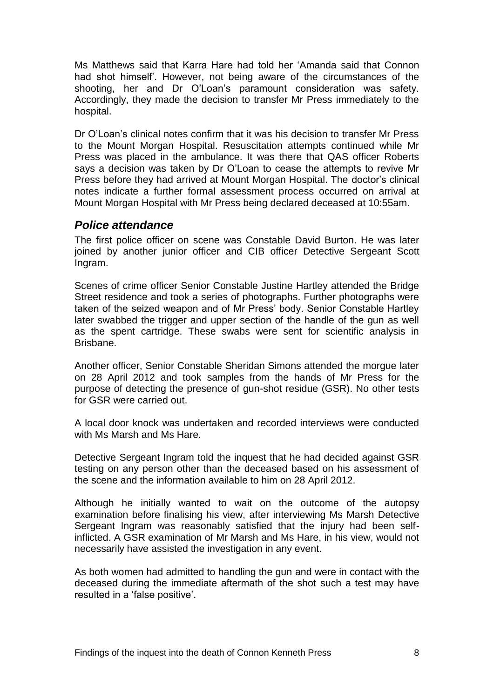Ms Matthews said that Karra Hare had told her 'Amanda said that Connon had shot himself'. However, not being aware of the circumstances of the shooting, her and Dr O'Loan's paramount consideration was safety. Accordingly, they made the decision to transfer Mr Press immediately to the hospital.

Dr O'Loan's clinical notes confirm that it was his decision to transfer Mr Press to the Mount Morgan Hospital. Resuscitation attempts continued while Mr Press was placed in the ambulance. It was there that QAS officer Roberts says a decision was taken by Dr O'Loan to cease the attempts to revive Mr Press before they had arrived at Mount Morgan Hospital. The doctor's clinical notes indicate a further formal assessment process occurred on arrival at Mount Morgan Hospital with Mr Press being declared deceased at 10:55am.

#### <span id="page-9-0"></span>*Police attendance*

The first police officer on scene was Constable David Burton. He was later joined by another junior officer and CIB officer Detective Sergeant Scott Ingram.

Scenes of crime officer Senior Constable Justine Hartley attended the Bridge Street residence and took a series of photographs. Further photographs were taken of the seized weapon and of Mr Press' body. Senior Constable Hartley later swabbed the trigger and upper section of the handle of the gun as well as the spent cartridge. These swabs were sent for scientific analysis in Brisbane.

Another officer, Senior Constable Sheridan Simons attended the morgue later on 28 April 2012 and took samples from the hands of Mr Press for the purpose of detecting the presence of gun-shot residue (GSR). No other tests for GSR were carried out.

A local door knock was undertaken and recorded interviews were conducted with Ms Marsh and Ms Hare.

Detective Sergeant Ingram told the inquest that he had decided against GSR testing on any person other than the deceased based on his assessment of the scene and the information available to him on 28 April 2012.

Although he initially wanted to wait on the outcome of the autopsy examination before finalising his view, after interviewing Ms Marsh Detective Sergeant Ingram was reasonably satisfied that the injury had been selfinflicted. A GSR examination of Mr Marsh and Ms Hare, in his view, would not necessarily have assisted the investigation in any event.

As both women had admitted to handling the gun and were in contact with the deceased during the immediate aftermath of the shot such a test may have resulted in a 'false positive'.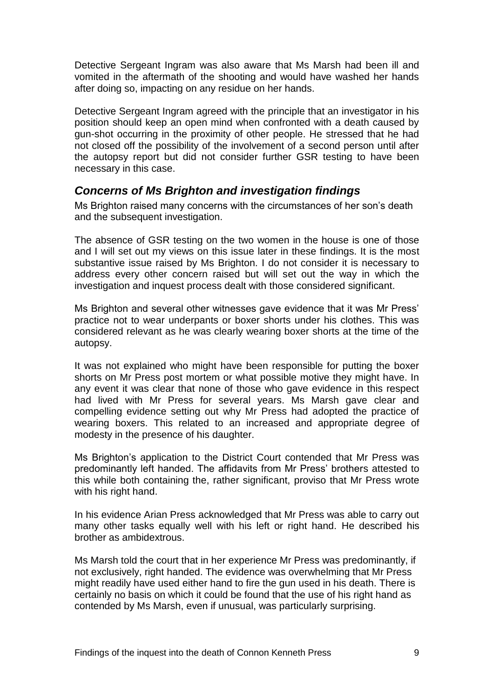Detective Sergeant Ingram was also aware that Ms Marsh had been ill and vomited in the aftermath of the shooting and would have washed her hands after doing so, impacting on any residue on her hands.

Detective Sergeant Ingram agreed with the principle that an investigator in his position should keep an open mind when confronted with a death caused by gun-shot occurring in the proximity of other people. He stressed that he had not closed off the possibility of the involvement of a second person until after the autopsy report but did not consider further GSR testing to have been necessary in this case.

#### <span id="page-10-0"></span>*Concerns of Ms Brighton and investigation findings*

Ms Brighton raised many concerns with the circumstances of her son's death and the subsequent investigation.

The absence of GSR testing on the two women in the house is one of those and I will set out my views on this issue later in these findings. It is the most substantive issue raised by Ms Brighton. I do not consider it is necessary to address every other concern raised but will set out the way in which the investigation and inquest process dealt with those considered significant.

Ms Brighton and several other witnesses gave evidence that it was Mr Press' practice not to wear underpants or boxer shorts under his clothes. This was considered relevant as he was clearly wearing boxer shorts at the time of the autopsy.

It was not explained who might have been responsible for putting the boxer shorts on Mr Press post mortem or what possible motive they might have. In any event it was clear that none of those who gave evidence in this respect had lived with Mr Press for several years. Ms Marsh gave clear and compelling evidence setting out why Mr Press had adopted the practice of wearing boxers. This related to an increased and appropriate degree of modesty in the presence of his daughter.

Ms Brighton's application to the District Court contended that Mr Press was predominantly left handed. The affidavits from Mr Press' brothers attested to this while both containing the, rather significant, proviso that Mr Press wrote with his right hand.

In his evidence Arian Press acknowledged that Mr Press was able to carry out many other tasks equally well with his left or right hand. He described his brother as ambidextrous.

Ms Marsh told the court that in her experience Mr Press was predominantly, if not exclusively, right handed. The evidence was overwhelming that Mr Press might readily have used either hand to fire the gun used in his death. There is certainly no basis on which it could be found that the use of his right hand as contended by Ms Marsh, even if unusual, was particularly surprising.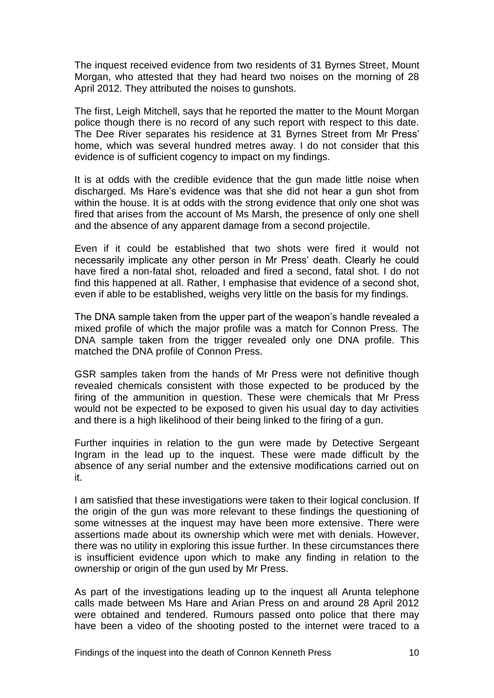The inquest received evidence from two residents of 31 Byrnes Street, Mount Morgan, who attested that they had heard two noises on the morning of 28 April 2012. They attributed the noises to gunshots.

The first, Leigh Mitchell, says that he reported the matter to the Mount Morgan police though there is no record of any such report with respect to this date. The Dee River separates his residence at 31 Byrnes Street from Mr Press' home, which was several hundred metres away. I do not consider that this evidence is of sufficient cogency to impact on my findings.

It is at odds with the credible evidence that the gun made little noise when discharged. Ms Hare's evidence was that she did not hear a gun shot from within the house. It is at odds with the strong evidence that only one shot was fired that arises from the account of Ms Marsh, the presence of only one shell and the absence of any apparent damage from a second projectile.

Even if it could be established that two shots were fired it would not necessarily implicate any other person in Mr Press' death. Clearly he could have fired a non-fatal shot, reloaded and fired a second, fatal shot. I do not find this happened at all. Rather, I emphasise that evidence of a second shot, even if able to be established, weighs very little on the basis for my findings.

The DNA sample taken from the upper part of the weapon's handle revealed a mixed profile of which the major profile was a match for Connon Press. The DNA sample taken from the trigger revealed only one DNA profile. This matched the DNA profile of Connon Press.

GSR samples taken from the hands of Mr Press were not definitive though revealed chemicals consistent with those expected to be produced by the firing of the ammunition in question. These were chemicals that Mr Press would not be expected to be exposed to given his usual day to day activities and there is a high likelihood of their being linked to the firing of a gun.

Further inquiries in relation to the gun were made by Detective Sergeant Ingram in the lead up to the inquest. These were made difficult by the absence of any serial number and the extensive modifications carried out on it.

I am satisfied that these investigations were taken to their logical conclusion. If the origin of the gun was more relevant to these findings the questioning of some witnesses at the inquest may have been more extensive. There were assertions made about its ownership which were met with denials. However, there was no utility in exploring this issue further. In these circumstances there is insufficient evidence upon which to make any finding in relation to the ownership or origin of the gun used by Mr Press.

As part of the investigations leading up to the inquest all Arunta telephone calls made between Ms Hare and Arian Press on and around 28 April 2012 were obtained and tendered. Rumours passed onto police that there may have been a video of the shooting posted to the internet were traced to a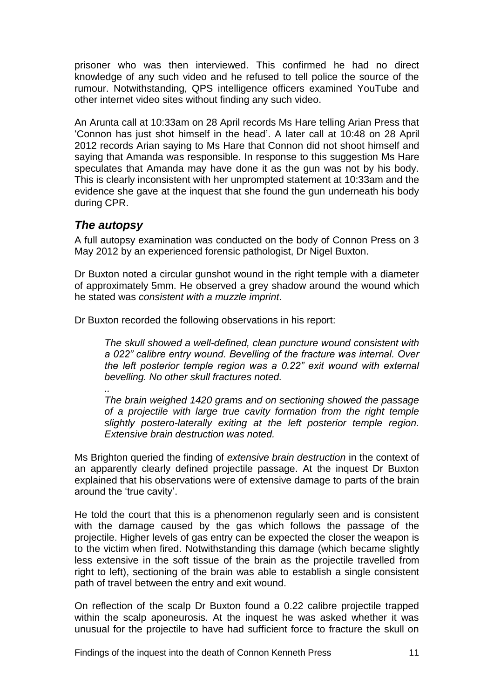prisoner who was then interviewed. This confirmed he had no direct knowledge of any such video and he refused to tell police the source of the rumour. Notwithstanding, QPS intelligence officers examined YouTube and other internet video sites without finding any such video.

An Arunta call at 10:33am on 28 April records Ms Hare telling Arian Press that 'Connon has just shot himself in the head'. A later call at 10:48 on 28 April 2012 records Arian saying to Ms Hare that Connon did not shoot himself and saying that Amanda was responsible. In response to this suggestion Ms Hare speculates that Amanda may have done it as the gun was not by his body. This is clearly inconsistent with her unprompted statement at 10:33am and the evidence she gave at the inquest that she found the gun underneath his body during CPR.

#### <span id="page-12-0"></span>*The autopsy*

*..*

A full autopsy examination was conducted on the body of Connon Press on 3 May 2012 by an experienced forensic pathologist, Dr Nigel Buxton.

Dr Buxton noted a circular gunshot wound in the right temple with a diameter of approximately 5mm. He observed a grey shadow around the wound which he stated was *consistent with a muzzle imprint*.

Dr Buxton recorded the following observations in his report:

*The skull showed a well-defined, clean puncture wound consistent with a 022" calibre entry wound. Bevelling of the fracture was internal. Over the left posterior temple region was a 0.22" exit wound with external bevelling. No other skull fractures noted.*

*The brain weighed 1420 grams and on sectioning showed the passage of a projectile with large true cavity formation from the right temple slightly postero-laterally exiting at the left posterior temple region. Extensive brain destruction was noted.*

Ms Brighton queried the finding of *extensive brain destruction* in the context of an apparently clearly defined projectile passage. At the inquest Dr Buxton explained that his observations were of extensive damage to parts of the brain around the 'true cavity'.

He told the court that this is a phenomenon regularly seen and is consistent with the damage caused by the gas which follows the passage of the projectile. Higher levels of gas entry can be expected the closer the weapon is to the victim when fired. Notwithstanding this damage (which became slightly less extensive in the soft tissue of the brain as the projectile travelled from right to left), sectioning of the brain was able to establish a single consistent path of travel between the entry and exit wound.

On reflection of the scalp Dr Buxton found a 0.22 calibre projectile trapped within the scalp aponeurosis. At the inquest he was asked whether it was unusual for the projectile to have had sufficient force to fracture the skull on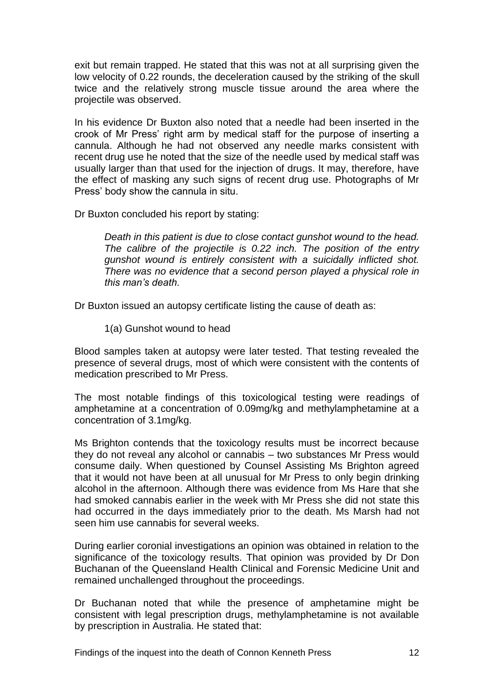exit but remain trapped. He stated that this was not at all surprising given the low velocity of 0.22 rounds, the deceleration caused by the striking of the skull twice and the relatively strong muscle tissue around the area where the projectile was observed.

In his evidence Dr Buxton also noted that a needle had been inserted in the crook of Mr Press' right arm by medical staff for the purpose of inserting a cannula. Although he had not observed any needle marks consistent with recent drug use he noted that the size of the needle used by medical staff was usually larger than that used for the injection of drugs. It may, therefore, have the effect of masking any such signs of recent drug use. Photographs of Mr Press' body show the cannula in situ.

Dr Buxton concluded his report by stating:

*Death in this patient is due to close contact gunshot wound to the head. The calibre of the projectile is 0.22 inch. The position of the entry gunshot wound is entirely consistent with a suicidally inflicted shot. There was no evidence that a second person played a physical role in this man's death.*

Dr Buxton issued an autopsy certificate listing the cause of death as:

1(a) Gunshot wound to head

Blood samples taken at autopsy were later tested. That testing revealed the presence of several drugs, most of which were consistent with the contents of medication prescribed to Mr Press.

The most notable findings of this toxicological testing were readings of amphetamine at a concentration of 0.09mg/kg and methylamphetamine at a concentration of 3.1mg/kg.

Ms Brighton contends that the toxicology results must be incorrect because they do not reveal any alcohol or cannabis – two substances Mr Press would consume daily. When questioned by Counsel Assisting Ms Brighton agreed that it would not have been at all unusual for Mr Press to only begin drinking alcohol in the afternoon. Although there was evidence from Ms Hare that she had smoked cannabis earlier in the week with Mr Press she did not state this had occurred in the days immediately prior to the death. Ms Marsh had not seen him use cannabis for several weeks.

During earlier coronial investigations an opinion was obtained in relation to the significance of the toxicology results. That opinion was provided by Dr Don Buchanan of the Queensland Health Clinical and Forensic Medicine Unit and remained unchallenged throughout the proceedings.

Dr Buchanan noted that while the presence of amphetamine might be consistent with legal prescription drugs, methylamphetamine is not available by prescription in Australia. He stated that: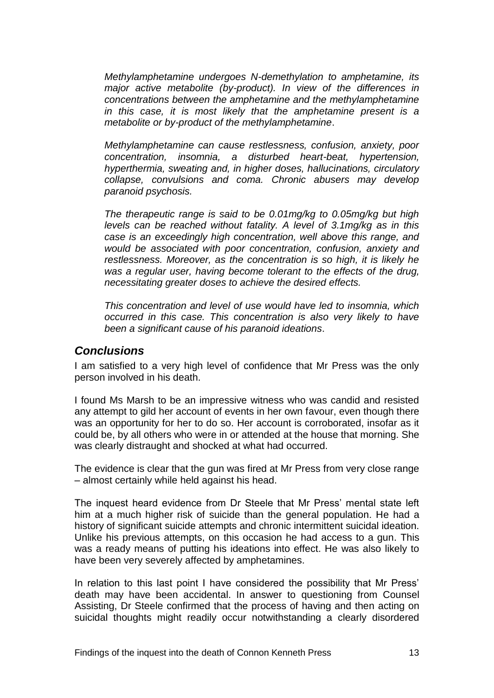*Methylamphetamine undergoes N-demethylation to amphetamine, its major active metabolite (by-product). In view of the differences in concentrations between the amphetamine and the methylamphetamine in this case, it is most likely that the amphetamine present is a metabolite or by-product of the methylamphetamine*.

*Methylamphetamine can cause restlessness, confusion, anxiety, poor concentration, insomnia, a disturbed heart-beat, hypertension, hyperthermia, sweating and, in higher doses, hallucinations, circulatory collapse, convulsions and coma. Chronic abusers may develop paranoid psychosis.*

*The therapeutic range is said to be 0.01mg/kg to 0.05mg/kg but high levels can be reached without fatality. A level of 3.1mg/kg as in this case is an exceedingly high concentration, well above this range, and would be associated with poor concentration, confusion, anxiety and restlessness. Moreover, as the concentration is so high, it is likely he was a regular user, having become tolerant to the effects of the drug, necessitating greater doses to achieve the desired effects.*

*This concentration and level of use would have led to insomnia, which occurred in this case. This concentration is also very likely to have been a significant cause of his paranoid ideations*.

#### <span id="page-14-0"></span>*Conclusions*

I am satisfied to a very high level of confidence that Mr Press was the only person involved in his death.

I found Ms Marsh to be an impressive witness who was candid and resisted any attempt to gild her account of events in her own favour, even though there was an opportunity for her to do so. Her account is corroborated, insofar as it could be, by all others who were in or attended at the house that morning. She was clearly distraught and shocked at what had occurred.

The evidence is clear that the gun was fired at Mr Press from very close range – almost certainly while held against his head.

The inquest heard evidence from Dr Steele that Mr Press' mental state left him at a much higher risk of suicide than the general population. He had a history of significant suicide attempts and chronic intermittent suicidal ideation. Unlike his previous attempts, on this occasion he had access to a gun. This was a ready means of putting his ideations into effect. He was also likely to have been very severely affected by amphetamines.

In relation to this last point I have considered the possibility that Mr Press' death may have been accidental. In answer to questioning from Counsel Assisting, Dr Steele confirmed that the process of having and then acting on suicidal thoughts might readily occur notwithstanding a clearly disordered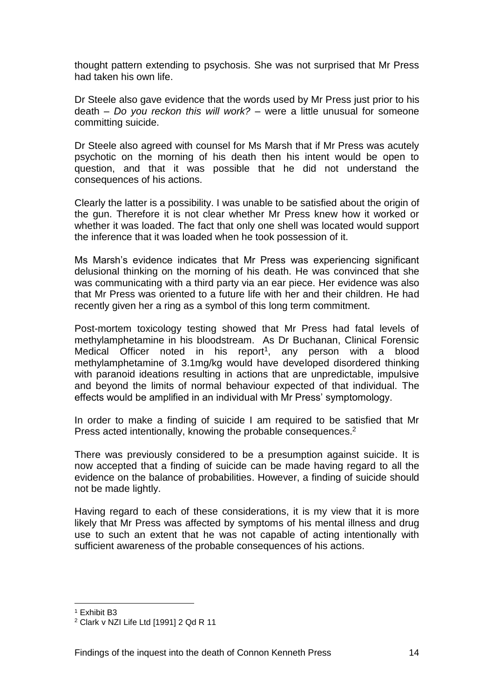thought pattern extending to psychosis. She was not surprised that Mr Press had taken his own life.

Dr Steele also gave evidence that the words used by Mr Press just prior to his death – *Do you reckon this will work?* – were a little unusual for someone committing suicide.

Dr Steele also agreed with counsel for Ms Marsh that if Mr Press was acutely psychotic on the morning of his death then his intent would be open to question, and that it was possible that he did not understand the consequences of his actions.

Clearly the latter is a possibility. I was unable to be satisfied about the origin of the gun. Therefore it is not clear whether Mr Press knew how it worked or whether it was loaded. The fact that only one shell was located would support the inference that it was loaded when he took possession of it.

Ms Marsh's evidence indicates that Mr Press was experiencing significant delusional thinking on the morning of his death. He was convinced that she was communicating with a third party via an ear piece. Her evidence was also that Mr Press was oriented to a future life with her and their children. He had recently given her a ring as a symbol of this long term commitment.

Post-mortem toxicology testing showed that Mr Press had fatal levels of methylamphetamine in his bloodstream. As Dr Buchanan, Clinical Forensic Medical Officer noted in his report<sup>1</sup>, any person with a blood methylamphetamine of 3.1mg/kg would have developed disordered thinking with paranoid ideations resulting in actions that are unpredictable, impulsive and beyond the limits of normal behaviour expected of that individual. The effects would be amplified in an individual with Mr Press' symptomology.

In order to make a finding of suicide I am required to be satisfied that Mr Press acted intentionally, knowing the probable consequences.<sup>2</sup>

There was previously considered to be a presumption against suicide. It is now accepted that a finding of suicide can be made having regard to all the evidence on the balance of probabilities. However, a finding of suicide should not be made lightly.

Having regard to each of these considerations, it is my view that it is more likely that Mr Press was affected by symptoms of his mental illness and drug use to such an extent that he was not capable of acting intentionally with sufficient awareness of the probable consequences of his actions.

 <sup>1</sup> Exhibit B3

<sup>2</sup> Clark v NZI Life Ltd [1991] 2 Qd R 11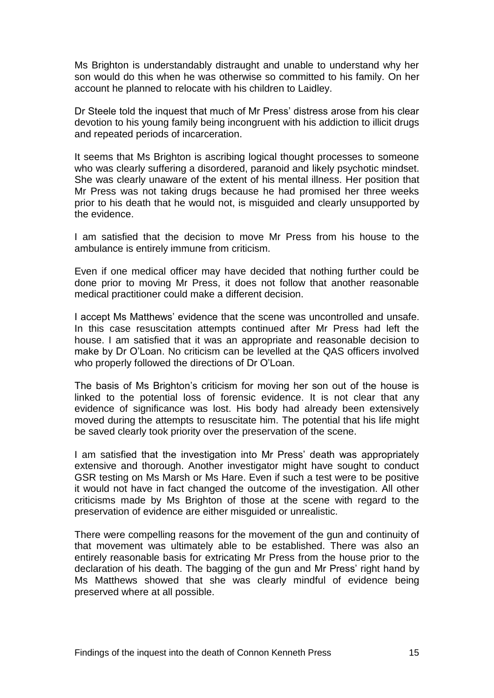Ms Brighton is understandably distraught and unable to understand why her son would do this when he was otherwise so committed to his family. On her account he planned to relocate with his children to Laidley.

Dr Steele told the inquest that much of Mr Press' distress arose from his clear devotion to his young family being incongruent with his addiction to illicit drugs and repeated periods of incarceration.

It seems that Ms Brighton is ascribing logical thought processes to someone who was clearly suffering a disordered, paranoid and likely psychotic mindset. She was clearly unaware of the extent of his mental illness. Her position that Mr Press was not taking drugs because he had promised her three weeks prior to his death that he would not, is misguided and clearly unsupported by the evidence.

I am satisfied that the decision to move Mr Press from his house to the ambulance is entirely immune from criticism.

Even if one medical officer may have decided that nothing further could be done prior to moving Mr Press, it does not follow that another reasonable medical practitioner could make a different decision.

I accept Ms Matthews' evidence that the scene was uncontrolled and unsafe. In this case resuscitation attempts continued after Mr Press had left the house. I am satisfied that it was an appropriate and reasonable decision to make by Dr O'Loan. No criticism can be levelled at the QAS officers involved who properly followed the directions of Dr O'Loan.

The basis of Ms Brighton's criticism for moving her son out of the house is linked to the potential loss of forensic evidence. It is not clear that any evidence of significance was lost. His body had already been extensively moved during the attempts to resuscitate him. The potential that his life might be saved clearly took priority over the preservation of the scene.

I am satisfied that the investigation into Mr Press' death was appropriately extensive and thorough. Another investigator might have sought to conduct GSR testing on Ms Marsh or Ms Hare. Even if such a test were to be positive it would not have in fact changed the outcome of the investigation. All other criticisms made by Ms Brighton of those at the scene with regard to the preservation of evidence are either misguided or unrealistic.

There were compelling reasons for the movement of the gun and continuity of that movement was ultimately able to be established. There was also an entirely reasonable basis for extricating Mr Press from the house prior to the declaration of his death. The bagging of the gun and Mr Press' right hand by Ms Matthews showed that she was clearly mindful of evidence being preserved where at all possible.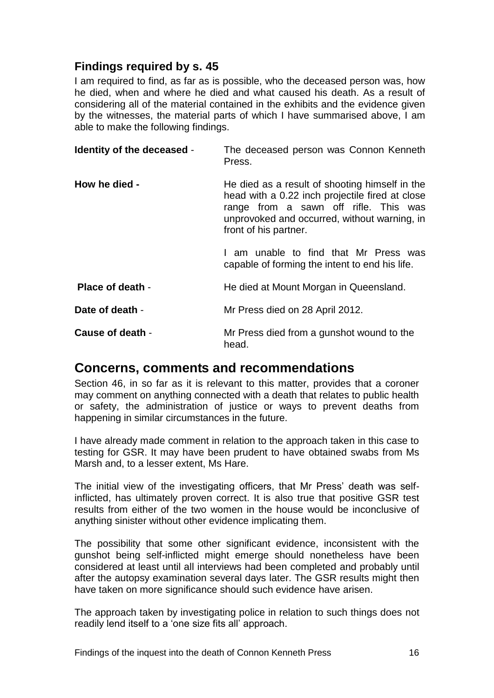#### <span id="page-17-0"></span>**Findings required by s. 45**

I am required to find, as far as is possible, who the deceased person was, how he died, when and where he died and what caused his death. As a result of considering all of the material contained in the exhibits and the evidence given by the witnesses, the material parts of which I have summarised above, I am able to make the following findings.

<span id="page-17-2"></span><span id="page-17-1"></span>

| Identity of the deceased - | The deceased person was Connon Kenneth<br>Press.                                                                                                                                                                    |
|----------------------------|---------------------------------------------------------------------------------------------------------------------------------------------------------------------------------------------------------------------|
| How he died -              | He died as a result of shooting himself in the<br>head with a 0.22 inch projectile fired at close<br>range from a sawn off rifle. This was<br>unprovoked and occurred, without warning, in<br>front of his partner. |
|                            | am unable to find that Mr Press was<br>capable of forming the intent to end his life.                                                                                                                               |
| Place of death -           | He died at Mount Morgan in Queensland.                                                                                                                                                                              |
| Date of death -            | Mr Press died on 28 April 2012.                                                                                                                                                                                     |
| Cause of death -           | Mr Press died from a gunshot wound to the<br>head.                                                                                                                                                                  |

# <span id="page-17-6"></span><span id="page-17-5"></span><span id="page-17-4"></span><span id="page-17-3"></span>**Concerns, comments and recommendations**

Section 46, in so far as it is relevant to this matter, provides that a coroner may comment on anything connected with a death that relates to public health or safety, the administration of justice or ways to prevent deaths from happening in similar circumstances in the future.

I have already made comment in relation to the approach taken in this case to testing for GSR. It may have been prudent to have obtained swabs from Ms Marsh and, to a lesser extent, Ms Hare.

The initial view of the investigating officers, that Mr Press' death was selfinflicted, has ultimately proven correct. It is also true that positive GSR test results from either of the two women in the house would be inconclusive of anything sinister without other evidence implicating them.

The possibility that some other significant evidence, inconsistent with the gunshot being self-inflicted might emerge should nonetheless have been considered at least until all interviews had been completed and probably until after the autopsy examination several days later. The GSR results might then have taken on more significance should such evidence have arisen.

The approach taken by investigating police in relation to such things does not readily lend itself to a 'one size fits all' approach.